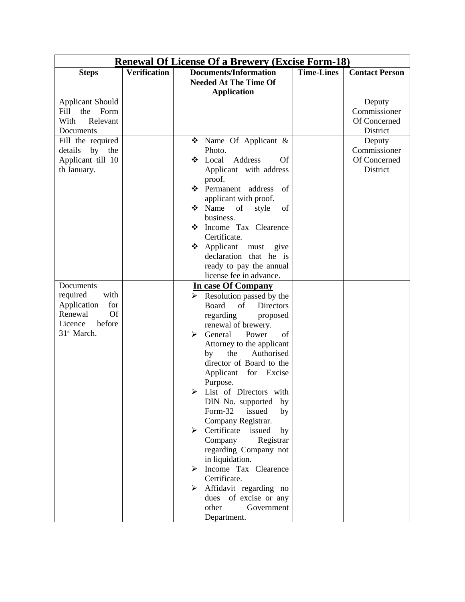| <b>Renewal Of License Of a Brewery (Excise Form-18)</b> |                     |                                                              |                   |                       |  |
|---------------------------------------------------------|---------------------|--------------------------------------------------------------|-------------------|-----------------------|--|
| <b>Steps</b>                                            | <b>Verification</b> | <b>Documents/Information</b><br><b>Needed At The Time Of</b> | <b>Time-Lines</b> | <b>Contact Person</b> |  |
|                                                         |                     | <b>Application</b>                                           |                   |                       |  |
| <b>Applicant Should</b>                                 |                     |                                                              |                   | Deputy                |  |
| Fill<br>the<br>Form                                     |                     |                                                              |                   | Commissioner          |  |
| With<br>Relevant                                        |                     |                                                              |                   | Of Concerned          |  |
| Documents                                               |                     |                                                              |                   | District              |  |
| Fill the required                                       |                     | $\bullet$ Name Of Applicant &                                |                   | Deputy                |  |
| details<br>by the                                       |                     | Photo.                                                       |                   | Commissioner          |  |
| Applicant till 10                                       |                     | Address<br>Local<br><b>Of</b><br>❖                           |                   | Of Concerned          |  |
| th January.                                             |                     | Applicant with address                                       |                   | District              |  |
|                                                         |                     | proof.                                                       |                   |                       |  |
|                                                         |                     | Permanent address<br>of                                      |                   |                       |  |
|                                                         |                     | applicant with proof.                                        |                   |                       |  |
|                                                         |                     | $\div$ Name<br>of<br>style<br>of                             |                   |                       |  |
|                                                         |                     | business.                                                    |                   |                       |  |
|                                                         |                     | <b>State</b> Tax Clearence                                   |                   |                       |  |
|                                                         |                     | Certificate.                                                 |                   |                       |  |
|                                                         |                     | Applicant<br>❖<br>must<br>give                               |                   |                       |  |
|                                                         |                     | declaration that he is                                       |                   |                       |  |
|                                                         |                     | ready to pay the annual                                      |                   |                       |  |
|                                                         |                     | license fee in advance.                                      |                   |                       |  |
| Documents                                               |                     | In case Of Company                                           |                   |                       |  |
| required<br>with                                        |                     | $\triangleright$ Resolution passed by the                    |                   |                       |  |
| for<br>Application                                      |                     | Board<br><b>Directors</b><br>of                              |                   |                       |  |
| Of<br>Renewal                                           |                     | regarding<br>proposed                                        |                   |                       |  |
| Licence<br>before                                       |                     | renewal of brewery.                                          |                   |                       |  |
| 31 <sup>st</sup> March.                                 |                     | General<br>Power<br>of<br>⋗                                  |                   |                       |  |
|                                                         |                     | Attorney to the applicant                                    |                   |                       |  |
|                                                         |                     | the<br>Authorised<br>by                                      |                   |                       |  |
|                                                         |                     | director of Board to the                                     |                   |                       |  |
|                                                         |                     | Applicant for Excise                                         |                   |                       |  |
|                                                         |                     | Purpose.                                                     |                   |                       |  |
|                                                         |                     | List of Directors with<br>➤                                  |                   |                       |  |
|                                                         |                     | DIN No. supported<br>by                                      |                   |                       |  |
|                                                         |                     | Form-32<br>issued<br>by                                      |                   |                       |  |
|                                                         |                     | Company Registrar.                                           |                   |                       |  |
|                                                         |                     | Certificate<br>issued<br>➤<br>by                             |                   |                       |  |
|                                                         |                     | Company<br>Registrar                                         |                   |                       |  |
|                                                         |                     | regarding Company not                                        |                   |                       |  |
|                                                         |                     | in liquidation.                                              |                   |                       |  |
|                                                         |                     | $\triangleright$ Income Tax Clearence                        |                   |                       |  |
|                                                         |                     | Certificate.                                                 |                   |                       |  |
|                                                         |                     | Affidavit regarding no<br>➤                                  |                   |                       |  |
|                                                         |                     | of excise or any<br>dues                                     |                   |                       |  |
|                                                         |                     | other<br>Government                                          |                   |                       |  |
|                                                         |                     | Department.                                                  |                   |                       |  |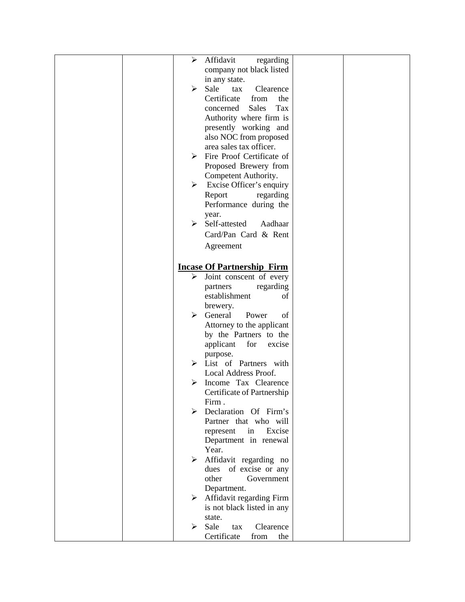|  | ➤ | Affidavit<br>regarding            |  |
|--|---|-----------------------------------|--|
|  |   | company not black listed          |  |
|  |   | in any state.                     |  |
|  | ➤ | Sale<br>Clearence<br>tax          |  |
|  |   | Certificate<br>the<br>from        |  |
|  |   | <b>Sales</b><br>Tax<br>concerned  |  |
|  |   | Authority where firm is           |  |
|  |   | presently working and             |  |
|  |   | also NOC from proposed            |  |
|  |   | area sales tax officer.           |  |
|  | ⋗ | Fire Proof Certificate of         |  |
|  |   | Proposed Brewery from             |  |
|  |   | Competent Authority.              |  |
|  | ➤ | Excise Officer's enquiry          |  |
|  |   |                                   |  |
|  |   | Report<br>regarding               |  |
|  |   | Performance during the            |  |
|  | ≻ | year.<br>Self-attested<br>Aadhaar |  |
|  |   |                                   |  |
|  |   | Card/Pan Card & Rent              |  |
|  |   | Agreement                         |  |
|  |   |                                   |  |
|  |   | <b>Incase Of Partnership Firm</b> |  |
|  | ➤ | Joint conscent of every           |  |
|  |   | partners<br>regarding             |  |
|  |   | establishment<br>οf               |  |
|  |   | brewery.                          |  |
|  | ⋗ | General<br>Power<br>of            |  |
|  |   | Attorney to the applicant         |  |
|  |   | by the Partners to the            |  |
|  |   | applicant<br>for<br>excise        |  |
|  |   | purpose.                          |  |
|  | ⋗ | List of Partners with             |  |
|  |   | Local Address Proof.              |  |
|  |   | Income Tax Clearence              |  |
|  |   | Certificate of Partnership        |  |
|  |   | Firm.                             |  |
|  | ⋗ | Declaration Of Firm's             |  |
|  |   | Partner that who will             |  |
|  |   | Excise<br>in<br>represent         |  |
|  |   | Department in renewal             |  |
|  |   | Year.                             |  |
|  | ➤ | Affidavit regarding no            |  |
|  |   | dues<br>of excise or any          |  |
|  |   | other<br>Government               |  |
|  |   | Department.                       |  |
|  | ➤ | Affidavit regarding Firm          |  |
|  |   | is not black listed in any        |  |
|  |   | state.                            |  |
|  | ➤ | Sale<br>Clearence<br>tax          |  |
|  |   | Certificate<br>from<br>the        |  |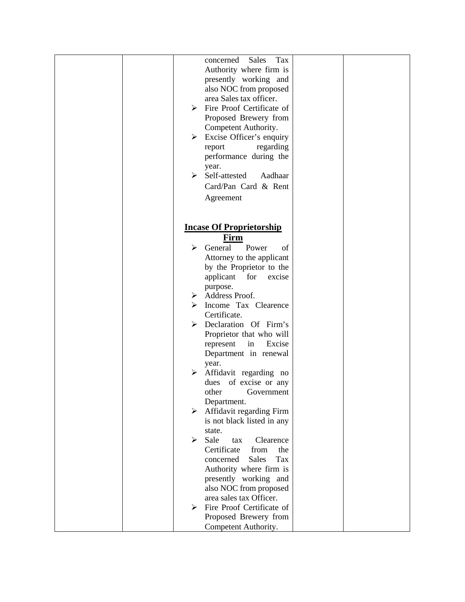| concerned<br><b>Sales</b><br>Tax |  |
|----------------------------------|--|
|                                  |  |
| Authority where firm is          |  |
| presently working and            |  |
| also NOC from proposed           |  |
| area Sales tax officer.          |  |
|                                  |  |
| Fire Proof Certificate of<br>➤   |  |
| Proposed Brewery from            |  |
| Competent Authority.             |  |
| Excise Officer's enquiry<br>➤    |  |
| regarding<br>report              |  |
|                                  |  |
| performance during the           |  |
| year.                            |  |
| Self-attested<br>Aadhaar<br>≻    |  |
| Card/Pan Card & Rent             |  |
|                                  |  |
| Agreement                        |  |
|                                  |  |
|                                  |  |
| <b>Incase Of Proprietorship</b>  |  |
|                                  |  |
| Firm                             |  |
| General<br>Power<br>⋗<br>of      |  |
| Attorney to the applicant        |  |
| by the Proprietor to the         |  |
| applicant<br>for<br>excise       |  |
|                                  |  |
| purpose.                         |  |
| Address Proof.<br>➤              |  |
| Income Tax Clearence<br>⋗        |  |
| Certificate.                     |  |
| Declaration Of Firm's<br>➤       |  |
| Proprietor that who will         |  |
|                                  |  |
| in<br>Excise<br>represent        |  |
| Department in renewal            |  |
| year.                            |  |
| Affidavit regarding no<br>➤      |  |
| of excise or any<br>dues         |  |
| other<br>Government              |  |
|                                  |  |
| Department.                      |  |
| Affidavit regarding Firm<br>➤    |  |
| is not black listed in any       |  |
| state.                           |  |
| Sale<br>➤<br>Clearence<br>tax    |  |
| Certificate<br>from<br>the       |  |
| <b>Sales</b><br>Tax<br>concerned |  |
|                                  |  |
| Authority where firm is          |  |
| presently working and            |  |
| also NOC from proposed           |  |
| area sales tax Officer.          |  |
| Fire Proof Certificate of<br>➤   |  |
| Proposed Brewery from            |  |
|                                  |  |
| Competent Authority.             |  |